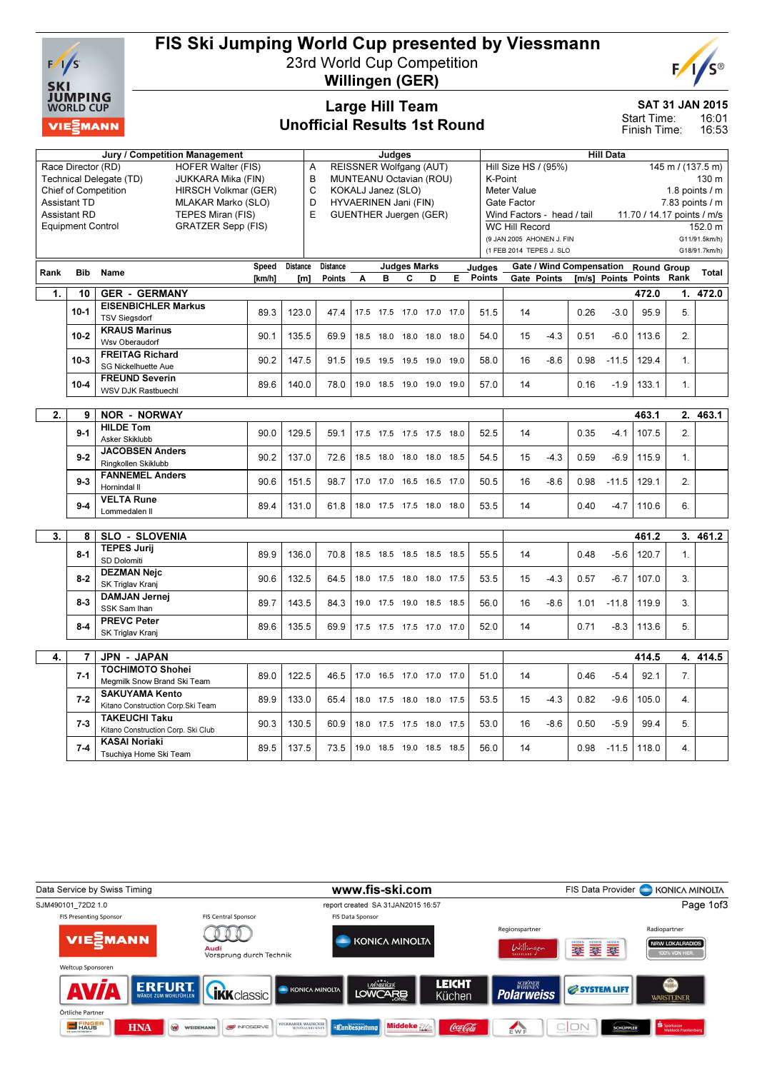

# FIS Ski Jumping World Cup presented by Viessmann

23rd World Cup Competition Willingen (GER)



Large Hill Team

# Unofficial Results 1st Round

SAT 31 JAN 2015

16:01 16:53 Start Time: Finish Time:

|      |                             | <b>Jury / Competition Management</b>          |                      | Judges          |                 |                                      |   |                          |   |      | <b>Hill Data</b> |                                           |                                 |      |                          |                            |                |               |
|------|-----------------------------|-----------------------------------------------|----------------------|-----------------|-----------------|--------------------------------------|---|--------------------------|---|------|------------------|-------------------------------------------|---------------------------------|------|--------------------------|----------------------------|----------------|---------------|
|      | Race Director (RD)          | <b>HOFER Walter (FIS)</b>                     |                      |                 | A               | REISSNER Wolfgang (AUT)              |   |                          |   |      |                  | Hill Size HS / (95%)<br>145 m / (137.5 m) |                                 |      |                          |                            |                |               |
|      |                             | Technical Delegate (TD)<br>JUKKARA Mika (FIN) |                      |                 | B               | MUNTEANU Octavian (ROU)              |   |                          |   |      |                  | 130 m<br>K-Point                          |                                 |      |                          |                            |                |               |
|      | <b>Chief of Competition</b> |                                               | HIRSCH Volkmar (GER) |                 | C               | KOKALJ Janez (SLO)                   |   |                          |   |      |                  | 1.8 points $/$ m<br>Meter Value           |                                 |      |                          |                            |                |               |
|      | <b>Assistant TD</b>         |                                               | MLAKAR Marko (SLO)   |                 | D               | HYVAERINEN Jani (FIN)<br>Gate Factor |   |                          |   |      |                  |                                           |                                 |      | 7.83 points / m          |                            |                |               |
|      | <b>Assistant RD</b>         | TEPES Miran (FIS)                             |                      |                 | E               | <b>GUENTHER Juergen (GER)</b>        |   |                          |   |      |                  |                                           | Wind Factors - head / tail      |      |                          | 11.70 / 14.17 points / m/s |                |               |
|      | <b>Equipment Control</b>    | <b>GRATZER Sepp (FIS)</b>                     |                      |                 |                 |                                      |   |                          |   |      |                  | <b>WC Hill Record</b>                     |                                 |      |                          |                            |                | 152.0 m       |
|      |                             |                                               |                      |                 |                 |                                      |   |                          |   |      |                  |                                           | (9 JAN 2005 AHONEN J. FIN       |      |                          |                            |                | G11/91.5km/h) |
|      |                             |                                               |                      |                 |                 |                                      |   |                          |   |      |                  | (1 FEB 2014 TEPES J. SLO                  |                                 |      |                          |                            | G18/91.7km/h)  |               |
|      |                             |                                               |                      |                 |                 |                                      |   |                          |   |      |                  |                                           |                                 |      |                          |                            |                |               |
| Rank | <b>Bib</b>                  | Name                                          | <b>Speed</b>         | <b>Distance</b> | <b>Distance</b> |                                      |   | <b>Judges Marks</b>      |   |      | Judaes           |                                           | <b>Gate / Wind Compensation</b> |      |                          | <b>Round Group</b>         |                | Total         |
|      |                             |                                               | [km/h]               | [m]             | <b>Points</b>   | A                                    | в | C                        | D | E    | <b>Points</b>    |                                           | Gate Points                     |      | [m/s] Points Points Rank |                            |                |               |
| 1.   | 10                          | <b>GER - GERMANY</b>                          |                      |                 |                 |                                      |   |                          |   |      |                  |                                           |                                 |      |                          | 472.0                      |                | 1. 472.0      |
|      | $10 - 1$                    | <b>EISENBICHLER Markus</b>                    | 89.3                 | 123.0           | 47.4            |                                      |   | 17.5 17.5 17.0 17.0 17.0 |   |      | 51.5             | 14                                        |                                 | 0.26 | $-3.0$                   | 95.9                       | 5.             |               |
|      |                             | <b>TSV Siegsdorf</b>                          |                      |                 |                 |                                      |   |                          |   |      |                  |                                           |                                 |      |                          |                            |                |               |
|      | $10 - 2$                    | <b>KRAUS Marinus</b>                          | 90.1                 | 135.5           | 69.9            |                                      |   | 18.5 18.0 18.0 18.0 18.0 |   |      | 54.0             | 15                                        | $-4.3$                          | 0.51 | $-6.0$                   | 113.6                      | 2.             |               |
|      |                             | Wsv Oberaudorf                                |                      |                 |                 |                                      |   |                          |   |      |                  |                                           |                                 |      |                          |                            |                |               |
|      | $10-3$                      | <b>FREITAG Richard</b>                        |                      |                 |                 |                                      |   |                          |   |      |                  |                                           |                                 |      |                          |                            |                |               |
|      |                             | <b>SG Nickelhuette Aue</b>                    | 90.2                 | 147.5           | 91.5            |                                      |   | 19.5 19.5 19.5 19.0 19.0 |   |      | 58.0             | 16                                        | $-8.6$                          | 0.98 | $-11.5$                  | 129.4                      | 1.             |               |
|      |                             | <b>FREUND Severin</b>                         |                      |                 |                 |                                      |   |                          |   |      |                  |                                           |                                 |      |                          |                            |                |               |
|      | $10 - 4$                    | <b>WSV DJK Rastbuechl</b>                     | 89.6                 | 140.0           | 78.0            |                                      |   | 19.0 18.5 19.0 19.0 19.0 |   |      | 57.0             | 14                                        |                                 | 0.16 | $-1.9$                   | 133.1                      | $\mathbf{1}$ . |               |
|      |                             |                                               |                      |                 |                 |                                      |   |                          |   |      |                  |                                           |                                 |      |                          |                            |                |               |
| 2.   | 9                           | <b>NOR - NORWAY</b>                           |                      |                 |                 |                                      |   |                          |   |      |                  |                                           |                                 |      | 463.1                    |                            | 2. 463.1       |               |
|      |                             | <b>HILDE Tom</b>                              |                      |                 |                 |                                      |   |                          |   |      |                  |                                           |                                 |      |                          |                            |                |               |
|      | $9 - 1$                     | Asker Skiklubb                                | 90.0                 | 129.5           | 59.1            |                                      |   | 17.5 17.5 17.5 17.5 18.0 |   |      | 52.5             | 14                                        |                                 | 0.35 | $-4.1$                   | 107.5                      | 2.             |               |
|      |                             | <b>JACOBSEN Anders</b>                        |                      |                 |                 |                                      |   |                          |   |      |                  |                                           |                                 |      |                          |                            |                |               |
|      | $9 - 2$                     | Ringkollen Skiklubb                           | 90.2                 | 137.0           | 72.6            |                                      |   | 18.5 18.0 18.0 18.0 18.5 |   |      | 54.5             | 15                                        | $-4.3$                          | 0.59 | $-6.9$                   | 115.9                      | 1.             |               |
|      |                             | <b>FANNEMEL Anders</b>                        |                      |                 |                 |                                      |   |                          |   |      |                  |                                           |                                 |      |                          |                            |                |               |
|      | $9 - 3$                     | Hornindal II                                  | 90.6                 | 151.5           | 98.7            |                                      |   | 17.0 17.0 16.5 16.5 17.0 |   |      | 50.5             | 16                                        | $-8.6$                          | 0.98 | $-11.5$                  | 129.1                      | 2.             |               |
|      |                             | <b>VELTA Rune</b>                             |                      |                 |                 |                                      |   |                          |   |      |                  |                                           |                                 |      |                          |                            |                |               |
|      | $9-4$                       | Lommedalen II                                 | 89.4                 | 131.0           | 61.8            |                                      |   | 18.0 17.5 17.5 18.0 18.0 |   |      | 53.5             | 14                                        |                                 | 0.40 | $-4.7$                   | 110.6                      | 6.             |               |
|      |                             |                                               |                      |                 |                 |                                      |   |                          |   |      |                  |                                           |                                 |      |                          |                            |                |               |
| 3.   | 8                           | <b>SLO - SLOVENIA</b>                         |                      |                 |                 |                                      |   |                          |   |      |                  |                                           |                                 |      |                          | 461.2                      |                | 3. 461.2      |
|      |                             | <b>TEPES Jurij</b>                            |                      |                 |                 |                                      |   |                          |   |      |                  |                                           |                                 |      |                          |                            |                |               |
|      | $8 - 1$                     | SD Dolomiti                                   | 89.9                 | 136.0           | 70.8            |                                      |   | 18.5 18.5 18.5 18.5 18.5 |   |      | 55.5             | 14                                        |                                 | 0.48 | $-5.6$                   | 120.7                      | 1.             |               |
|      |                             | <b>DEZMAN Nejc</b>                            |                      |                 |                 |                                      |   |                          |   |      |                  |                                           |                                 |      |                          |                            |                |               |
|      | $8 - 2$                     | SK Triglav Kranj                              | 90.6                 | 132.5           | 64.5            |                                      |   | 18.0 17.5 18.0 18.0 17.5 |   |      | 53.5             | 15                                        | $-4.3$                          | 0.57 | $-6.7$                   | 107.0                      | 3.             |               |
|      |                             | <b>DAMJAN Jernej</b>                          |                      |                 |                 |                                      |   |                          |   |      |                  |                                           |                                 |      |                          |                            |                |               |
|      | $8-3$                       | SSK Sam Ihan                                  | 89.7                 | 143.5           | 84.3            |                                      |   | 19.0 17.5 19.0 18.5 18.5 |   |      | 56.0             | 16                                        | $-8.6$                          | 1.01 | $-11.8$                  | 119.9                      | 3.             |               |
|      |                             | <b>PREVC Peter</b>                            |                      |                 |                 |                                      |   |                          |   |      |                  |                                           |                                 |      |                          |                            |                |               |
|      | $8 - 4$                     | SK Triglav Kranj                              | 89.6                 | 135.5           | 69.9            |                                      |   | 17.5 17.5 17.5 17.0 17.0 |   |      | 52.0             | 14                                        |                                 | 0.71 | -8.3                     | 113.6                      | 5.             |               |
|      |                             |                                               |                      |                 |                 |                                      |   |                          |   |      |                  |                                           |                                 |      |                          |                            |                |               |
| 4.   | 7                           | <b>JPN - JAPAN</b>                            |                      |                 |                 |                                      |   |                          |   |      |                  |                                           |                                 |      |                          | 414.5                      |                | 4. 414.5      |
|      |                             | <b>TOCHIMOTO Shohei</b>                       |                      |                 |                 |                                      |   |                          |   |      |                  |                                           |                                 |      |                          |                            |                |               |
|      | $7 - 1$                     | Megmilk Snow Brand Ski Team                   | 89.0                 | 122.5           | 46.5            |                                      |   | 17.0 16.5 17.0 17.0 17.0 |   |      | 51.0             | 14                                        |                                 | 0.46 | $-5.4$                   | 92.1                       | 7.             |               |
|      |                             | <b>SAKUYAMA Kento</b>                         |                      |                 |                 |                                      |   |                          |   |      |                  |                                           |                                 |      |                          |                            |                |               |
|      | $7 - 2$                     | Kitano Construction Corp.Ski Team             | 89.9                 | 133.0           | 65.4            |                                      |   | 18.0 17.5 18.0 18.0      |   | 17.5 | 53.5             | 15                                        | $-4.3$                          | 0.82 | $-9.6$                   | 105.0                      | 4.             |               |
|      |                             | <b>TAKEUCHI Taku</b>                          |                      |                 |                 |                                      |   |                          |   |      |                  |                                           |                                 |      |                          |                            |                |               |
|      | $7 - 3$                     | Kitano Construction Corp. Ski Club            | 90.3                 | 130.5           | 60.9            |                                      |   | 18.0 17.5 17.5 18.0      |   | 17.5 | 53.0             | 16                                        | $-8.6$                          | 0.50 | $-5.9$                   | 99.4                       | 5.             |               |
|      |                             | <b>KASAI Noriaki</b>                          |                      |                 |                 |                                      |   |                          |   |      |                  |                                           |                                 |      |                          |                            |                |               |
|      | $7 - 4$                     | Tsuchiya Home Ski Team                        | 89.5                 | 137.5           | 73.5            |                                      |   | 19.0 18.5 19.0 18.5 18.5 |   |      | 56.0             | 14                                        |                                 | 0.98 | $-11.5$                  | 118.0                      | 4.             |               |

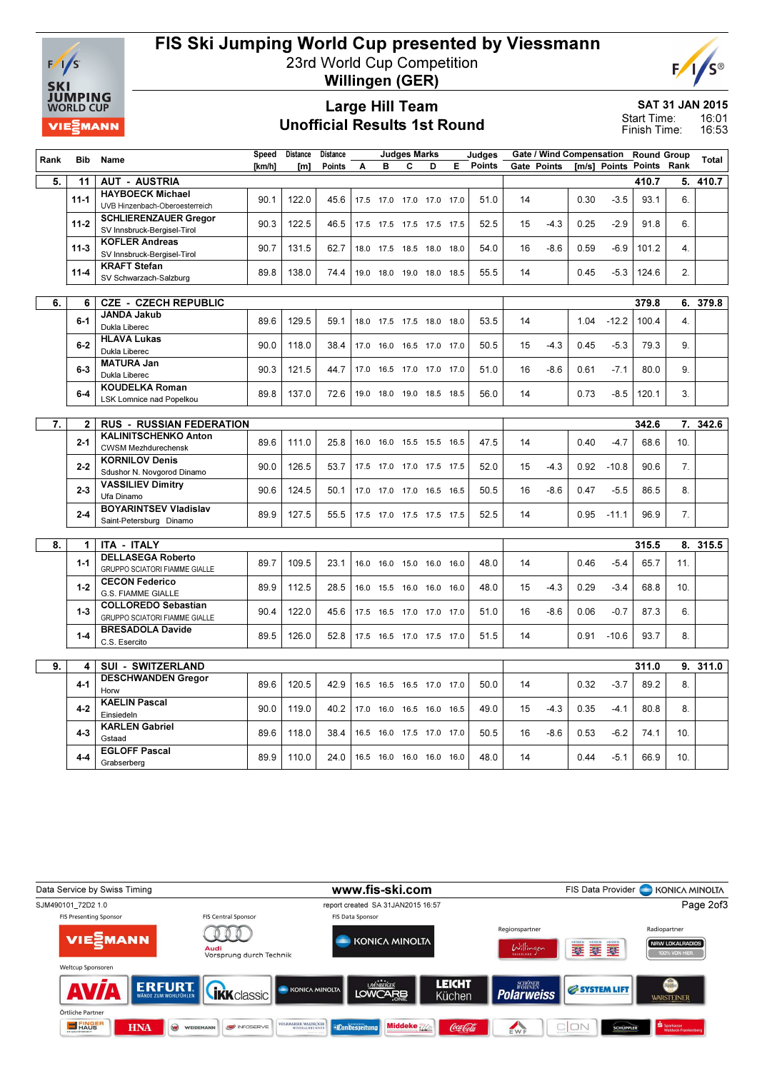

# FIS Ski Jumping World Cup presented by Viessmann

23rd World Cup Competition



Willingen (GER)

### Large Hill Team Unofficial Results 1st Round

SAT 31 JAN 2015 16:01 Start Time:

16:53 Finish Time:

| Rank | Bib            | Name                                 | Speed  | Distance | <b>Distance</b> |      |                              | <b>Judges Marks</b> |   |   | Judges        |    |             | Gate / Wind Compensation |         | <b>Round Group</b>       |                  | Total    |
|------|----------------|--------------------------------------|--------|----------|-----------------|------|------------------------------|---------------------|---|---|---------------|----|-------------|--------------------------|---------|--------------------------|------------------|----------|
|      |                |                                      | [km/h] | [m]      | Points          | A    | в                            | C                   | D | Е | <b>Points</b> |    | Gate Points |                          |         | [m/s] Points Points Rank |                  |          |
| 5.   | 11             | <b>AUT - AUSTRIA</b>                 |        |          |                 |      |                              |                     |   |   |               |    |             |                          |         | 410.7                    |                  | 5. 410.7 |
|      |                | <b>HAYBOECK Michael</b>              |        |          |                 |      |                              |                     |   |   |               |    |             |                          |         |                          |                  |          |
|      | $11 - 1$       | UVB Hinzenbach-Oberoesterreich       | 90.1   | 122.0    | 45.6            |      | 17.5 17.0 17.0 17.0 17.0     |                     |   |   | 51.0          | 14 |             | 0.30                     | $-3.5$  | 93.1                     | 6.               |          |
|      |                | <b>SCHLIERENZAUER Gregor</b>         |        |          |                 |      |                              |                     |   |   |               |    |             |                          |         |                          |                  |          |
|      | $11 - 2$       | SV Innsbruck-Bergisel-Tirol          | 90.3   | 122.5    | 46.5            |      | 17.5 17.5 17.5 17.5 17.5     |                     |   |   | 52.5          | 15 | $-4.3$      | 0.25                     | $-2.9$  | 91.8                     | 6.               |          |
|      |                | <b>KOFLER Andreas</b>                |        |          |                 |      |                              |                     |   |   |               |    |             |                          |         |                          |                  |          |
|      | $11-3$         | SV Innsbruck-Bergisel-Tirol          | 90.7   | 131.5    | 62.7            |      | 18.0 17.5 18.5 18.0 18.0     |                     |   |   | 54.0          | 16 | $-8.6$      | 0.59                     | $-6.9$  | 101.2                    | $\mathbf{4}$     |          |
|      |                | <b>KRAFT Stefan</b>                  |        |          |                 |      |                              |                     |   |   |               |    |             |                          |         |                          |                  |          |
|      | $11 - 4$       | SV Schwarzach-Salzburg               | 89.8   | 138.0    | 74.4            |      | 19.0 18.0 19.0 18.0 18.5     |                     |   |   | 55.5          | 14 |             | 0.45                     | $-5.3$  | 124.6                    | 2.               |          |
|      |                |                                      |        |          |                 |      |                              |                     |   |   |               |    |             |                          |         |                          |                  |          |
| 6.   | 6              | <b>CZE - CZECH REPUBLIC</b>          |        |          |                 |      |                              |                     |   |   |               |    |             |                          |         | 379.8                    | 6.               | 379.8    |
|      | $6 - 1$        | <b>JANDA Jakub</b>                   |        |          |                 |      |                              |                     |   |   |               |    |             |                          |         |                          | $\overline{4}$ . |          |
|      |                | Dukla Liberec                        | 89.6   | 129.5    | 59.1            |      | 18.0 17.5 17.5 18.0 18.0     |                     |   |   | 53.5          | 14 |             | 1.04                     | $-12.2$ | 100.4                    |                  |          |
|      | $6 - 2$        | <b>HLAVA Lukas</b>                   | 90.0   | 118.0    | 38.4            |      | 17.0 16.0 16.5 17.0 17.0     |                     |   |   | 50.5          | 15 | $-4.3$      | 0.45                     | $-5.3$  | 79.3                     | 9.               |          |
|      |                | Dukla Liberec                        |        |          |                 |      |                              |                     |   |   |               |    |             |                          |         |                          |                  |          |
|      | $6-3$          | <b>MATURA Jan</b>                    | 90.3   | 121.5    | 44.7            |      | 17.0  16.5  17.0  17.0  17.0 |                     |   |   | 51.0          | 16 | $-8.6$      | 0.61                     | $-7.1$  | 80.0                     | 9.               |          |
|      |                | Dukla Liberec                        |        |          |                 |      |                              |                     |   |   |               |    |             |                          |         |                          |                  |          |
|      | $6-4$          | <b>KOUDELKA Roman</b>                | 89.8   | 137.0    | 72.6            |      | 19.0 18.0 19.0 18.5 18.5     |                     |   |   | 56.0          | 14 |             | 0.73                     | $-8.5$  | 120.1                    | 3.               |          |
|      |                | <b>LSK Lomnice nad Popelkou</b>      |        |          |                 |      |                              |                     |   |   |               |    |             |                          |         |                          |                  |          |
|      |                |                                      |        |          |                 |      |                              |                     |   |   |               |    |             |                          |         |                          |                  |          |
| 7.   | $\overline{2}$ | <b>RUS - RUSSIAN FEDERATION</b>      |        |          |                 |      |                              |                     |   |   |               |    |             |                          | 342.6   |                          | 7. 342.6         |          |
|      | $2 - 1$        | <b>KALINITSCHENKO Anton</b>          | 89.6   | 111.0    | 25.8            |      | 16.0 16.0 15.5 15.5 16.5     |                     |   |   | 47.5          | 14 |             | 0.40                     | $-4.7$  | 68.6                     | 10.              |          |
|      |                | <b>CWSM Mezhdurechensk</b>           |        |          |                 |      |                              |                     |   |   |               |    |             |                          |         |                          |                  |          |
|      | $2 - 2$        | <b>KORNILOV Denis</b>                | 90.0   | 126.5    | 53.7            |      | 17.5 17.0 17.0 17.5 17.5     |                     |   |   | 52.0          | 15 | $-4.3$      | 0.92                     | $-10.8$ | 90.6                     | 7.               |          |
|      |                | Sdushor N. Novgorod Dinamo           |        |          |                 |      |                              |                     |   |   |               |    |             |                          |         |                          |                  |          |
|      | $2 - 3$        | <b>VASSILIEV Dimitry</b>             | 90.6   | 124.5    | 50.1            |      | 17.0 17.0 17.0 16.5 16.5     |                     |   |   | 50.5          | 16 | $-8.6$      | 0.47                     | $-5.5$  | 86.5                     | 8.               |          |
|      |                | Ufa Dinamo                           |        |          |                 |      |                              |                     |   |   |               |    |             |                          |         |                          |                  |          |
|      | $2 - 4$        | <b>BOYARINTSEV Vladislav</b>         | 89.9   | 127.5    | 55.5            |      | 17.5 17.0 17.5 17.5 17.5     |                     |   |   | 52.5          | 14 |             | 0.95                     | $-11.1$ | 96.9                     | 7.               |          |
|      |                | Saint-Petersburg Dinamo              |        |          |                 |      |                              |                     |   |   |               |    |             |                          |         |                          |                  |          |
|      |                |                                      |        |          |                 |      |                              |                     |   |   |               |    |             |                          |         |                          |                  |          |
| 8.   | 1              | <b>ITA - ITALY</b>                   |        |          |                 |      |                              |                     |   |   |               |    |             |                          |         | 315.5                    | 8.               | 315.5    |
|      | $1 - 1$        | <b>DELLASEGA Roberto</b>             | 89.7   | 109.5    | 23.1            |      | 16.0 16.0 15.0 16.0 16.0     |                     |   |   | 48.0          | 14 |             | 0.46                     | $-5.4$  | 65.7                     | 11.              |          |
|      |                | <b>GRUPPO SCIATORI FIAMME GIALLE</b> |        |          |                 |      |                              |                     |   |   |               |    |             |                          |         |                          |                  |          |
|      | $1 - 2$        | <b>CECON Federico</b>                | 89.9   | 112.5    | 28.5            |      | 16.0 15.5 16.0 16.0 16.0     |                     |   |   | 48.0          | 15 | $-4.3$      | 0.29                     | $-3.4$  | 68.8                     | 10.              |          |
|      |                | <b>G.S. FIAMME GIALLE</b>            |        |          |                 |      |                              |                     |   |   |               |    |             |                          |         |                          |                  |          |
|      | $1 - 3$        | <b>COLLOREDO Sebastian</b>           | 90.4   | 122.0    | 45.6            |      | 17.5 16.5 17.0 17.0 17.0     |                     |   |   | 51.0          | 16 | $-8.6$      | 0.06                     | $-0.7$  | 87.3                     | 6.               |          |
|      |                | GRUPPO SCIATORI FIAMME GIALLE        |        |          |                 |      |                              |                     |   |   |               |    |             |                          |         |                          |                  |          |
|      | $1 - 4$        | <b>BRESADOLA Davide</b>              | 89.5   | 126.0    | 52.8            |      | 17.5 16.5 17.0 17.5 17.0     |                     |   |   | 51.5          | 14 |             | 0.91                     | $-10.6$ | 93.7                     | 8.               |          |
|      |                | C.S. Esercito                        |        |          |                 |      |                              |                     |   |   |               |    |             |                          |         |                          |                  |          |
|      |                |                                      |        |          |                 |      |                              |                     |   |   |               |    |             |                          |         |                          |                  |          |
| 9.   | 4              | <b>SUI - SWITZERLAND</b>             |        |          |                 |      |                              |                     |   |   |               |    |             |                          |         | 311.0                    |                  | 9. 311.0 |
|      | $4 - 1$        | <b>DESCHWANDEN Gregor</b>            | 89.6   | 120.5    | 42.9            |      | 16.5 16.5 16.5 17.0 17.0     |                     |   |   | 50.0          | 14 |             | 0.32                     | $-3.7$  | 89.2                     | 8.               |          |
|      |                | Horw                                 |        |          |                 |      |                              |                     |   |   |               |    |             |                          |         |                          |                  |          |
|      | $4 - 2$        | <b>KAELIN Pascal</b>                 | 90.0   | 119.0    | 40.2            | 17.0 | 16.0 16.5 16.0 16.5          |                     |   |   | 49.0          | 15 | $-4.3$      | 0.35                     | $-4.1$  | 80.8                     | 8.               |          |
|      |                | Einsiedeln                           |        |          |                 |      |                              |                     |   |   |               |    |             |                          |         |                          |                  |          |
|      | $4 - 3$        | <b>KARLEN Gabriel</b>                | 89.6   | 118.0    | 38.4            |      | 16.5 16.0 17.5 17.0 17.0     |                     |   |   | 50.5          | 16 | $-8.6$      | 0.53                     | $-6.2$  | 74.1                     | 10.              |          |
|      |                | Gstaad                               |        |          |                 |      |                              |                     |   |   |               |    |             |                          |         |                          |                  |          |
|      | $4 - 4$        | <b>EGLOFF Pascal</b>                 | 89.9   | 110.0    | 24.0            |      | 16.5 16.0 16.0 16.0 16.0     |                     |   |   | 48.0          | 14 |             | 0.44                     | $-5.1$  | 66.9                     | 10.              |          |
|      |                | Grabserberg                          |        |          |                 |      |                              |                     |   |   |               |    |             |                          |         |                          |                  |          |